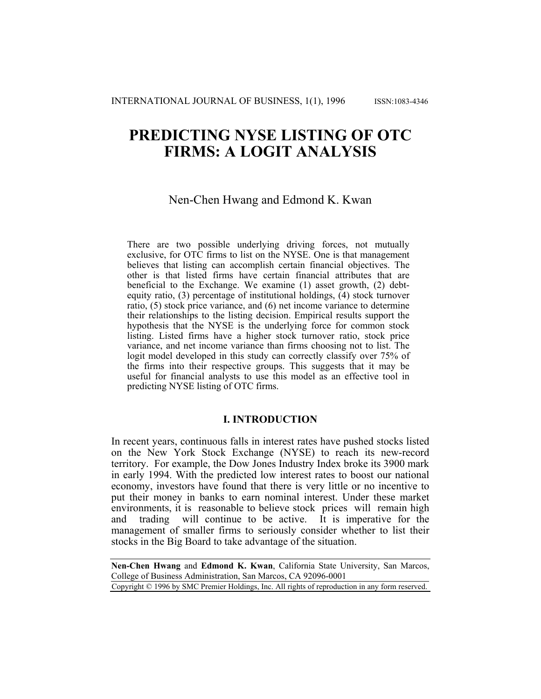# **PREDICTING NYSE LISTING OF OTC FIRMS: A LOGIT ANALYSIS**

# Nen-Chen Hwang and Edmond K. Kwan

There are two possible underlying driving forces, not mutually exclusive, for OTC firms to list on the NYSE. One is that management believes that listing can accomplish certain financial objectives. The other is that listed firms have certain financial attributes that are beneficial to the Exchange. We examine (1) asset growth, (2) debtequity ratio, (3) percentage of institutional holdings, (4) stock turnover ratio, (5) stock price variance, and (6) net income variance to determine their relationships to the listing decision. Empirical results support the hypothesis that the NYSE is the underlying force for common stock listing. Listed firms have a higher stock turnover ratio, stock price variance, and net income variance than firms choosing not to list. The logit model developed in this study can correctly classify over 75% of the firms into their respective groups. This suggests that it may be useful for financial analysts to use this model as an effective tool in predicting NYSE listing of OTC firms.

## **I. INTRODUCTION**

In recent years, continuous falls in interest rates have pushed stocks listed on the New York Stock Exchange (NYSE) to reach its new-record territory. For example, the Dow Jones Industry Index broke its 3900 mark in early 1994. With the predicted low interest rates to boost our national economy, investors have found that there is very little or no incentive to put their money in banks to earn nominal interest. Under these market environments, it is reasonable to believe stock prices will remain high and trading will continue to be active. It is imperative for the management of smaller firms to seriously consider whether to list their stocks in the Big Board to take advantage of the situation.

**Nen-Chen Hwang** and **Edmond K. Kwan**, California State University, San Marcos, College of Business Administration, San Marcos, CA 92096-0001

Copyright © 1996 by SMC Premier Holdings, Inc. All rights of reproduction in any form reserved.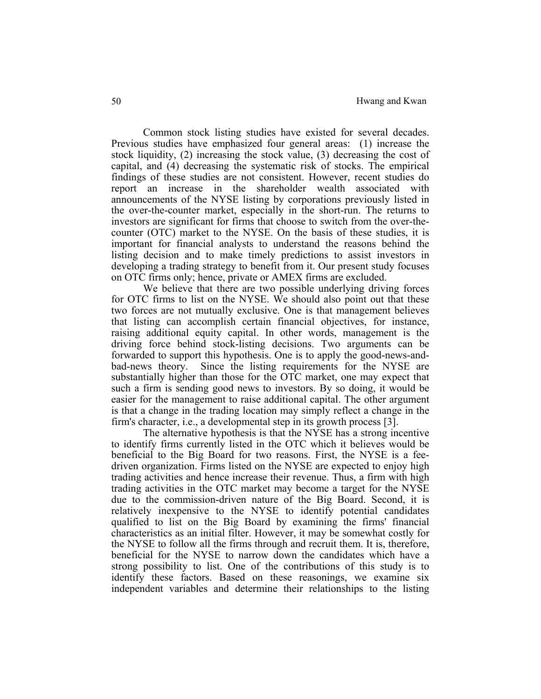Common stock listing studies have existed for several decades. Previous studies have emphasized four general areas: (1) increase the stock liquidity, (2) increasing the stock value, (3) decreasing the cost of capital, and (4) decreasing the systematic risk of stocks. The empirical findings of these studies are not consistent. However, recent studies do report an increase in the shareholder wealth associated with announcements of the NYSE listing by corporations previously listed in the over-the-counter market, especially in the short-run. The returns to investors are significant for firms that choose to switch from the over-thecounter (OTC) market to the NYSE. On the basis of these studies, it is important for financial analysts to understand the reasons behind the listing decision and to make timely predictions to assist investors in developing a trading strategy to benefit from it. Our present study focuses on OTC firms only; hence, private or AMEX firms are excluded.

We believe that there are two possible underlying driving forces for OTC firms to list on the NYSE. We should also point out that these two forces are not mutually exclusive. One is that management believes that listing can accomplish certain financial objectives, for instance, raising additional equity capital. In other words, management is the driving force behind stock-listing decisions. Two arguments can be forwarded to support this hypothesis. One is to apply the good-news-andbad-news theory. Since the listing requirements for the NYSE are substantially higher than those for the OTC market, one may expect that such a firm is sending good news to investors. By so doing, it would be easier for the management to raise additional capital. The other argument is that a change in the trading location may simply reflect a change in the firm's character, i.e., a developmental step in its growth process [3].

 The alternative hypothesis is that the NYSE has a strong incentive to identify firms currently listed in the OTC which it believes would be beneficial to the Big Board for two reasons. First, the NYSE is a feedriven organization. Firms listed on the NYSE are expected to enjoy high trading activities and hence increase their revenue. Thus, a firm with high trading activities in the OTC market may become a target for the NYSE due to the commission-driven nature of the Big Board. Second, it is relatively inexpensive to the NYSE to identify potential candidates qualified to list on the Big Board by examining the firms' financial characteristics as an initial filter. However, it may be somewhat costly for the NYSE to follow all the firms through and recruit them. It is, therefore, beneficial for the NYSE to narrow down the candidates which have a strong possibility to list. One of the contributions of this study is to identify these factors. Based on these reasonings, we examine six independent variables and determine their relationships to the listing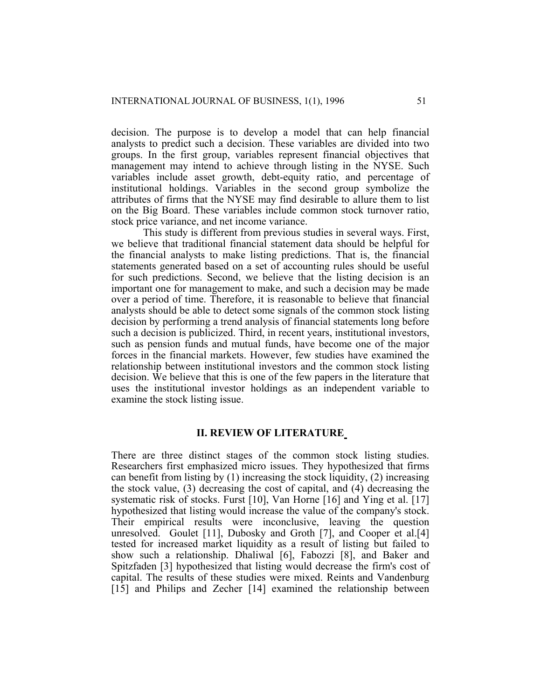decision. The purpose is to develop a model that can help financial analysts to predict such a decision. These variables are divided into two groups. In the first group, variables represent financial objectives that management may intend to achieve through listing in the NYSE. Such variables include asset growth, debt-equity ratio, and percentage of institutional holdings. Variables in the second group symbolize the attributes of firms that the NYSE may find desirable to allure them to list on the Big Board. These variables include common stock turnover ratio, stock price variance, and net income variance.

 This study is different from previous studies in several ways. First, we believe that traditional financial statement data should be helpful for the financial analysts to make listing predictions. That is, the financial statements generated based on a set of accounting rules should be useful for such predictions. Second, we believe that the listing decision is an important one for management to make, and such a decision may be made over a period of time. Therefore, it is reasonable to believe that financial analysts should be able to detect some signals of the common stock listing decision by performing a trend analysis of financial statements long before such a decision is publicized. Third, in recent years, institutional investors, such as pension funds and mutual funds, have become one of the major forces in the financial markets. However, few studies have examined the relationship between institutional investors and the common stock listing decision. We believe that this is one of the few papers in the literature that uses the institutional investor holdings as an independent variable to examine the stock listing issue.

## **II. REVIEW OF LITERATURE**

There are three distinct stages of the common stock listing studies. Researchers first emphasized micro issues. They hypothesized that firms can benefit from listing by (1) increasing the stock liquidity, (2) increasing the stock value, (3) decreasing the cost of capital, and (4) decreasing the systematic risk of stocks. Furst [10], Van Horne [16] and Ying et al. [17] hypothesized that listing would increase the value of the company's stock. Their empirical results were inconclusive, leaving the question unresolved. Goulet [11], Dubosky and Groth [7], and Cooper et al.[4] tested for increased market liquidity as a result of listing but failed to show such a relationship. Dhaliwal [6], Fabozzi [8], and Baker and Spitzfaden [3] hypothesized that listing would decrease the firm's cost of capital. The results of these studies were mixed. Reints and Vandenburg [15] and Philips and Zecher [14] examined the relationship between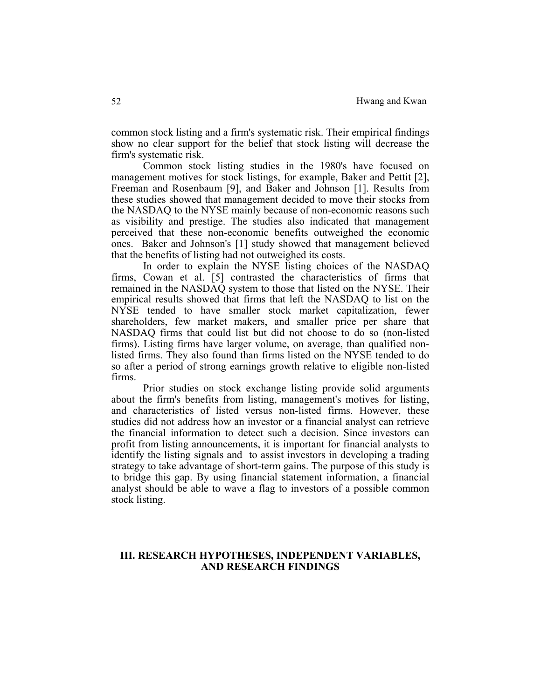common stock listing and a firm's systematic risk. Their empirical findings show no clear support for the belief that stock listing will decrease the firm's systematic risk.

 Common stock listing studies in the 1980's have focused on management motives for stock listings, for example, Baker and Pettit [2], Freeman and Rosenbaum [9], and Baker and Johnson [1]. Results from these studies showed that management decided to move their stocks from the NASDAQ to the NYSE mainly because of non-economic reasons such as visibility and prestige. The studies also indicated that management perceived that these non-economic benefits outweighed the economic ones. Baker and Johnson's [1] study showed that management believed that the benefits of listing had not outweighed its costs.

 In order to explain the NYSE listing choices of the NASDAQ firms, Cowan et al. [5] contrasted the characteristics of firms that remained in the NASDAQ system to those that listed on the NYSE. Their empirical results showed that firms that left the NASDAQ to list on the NYSE tended to have smaller stock market capitalization, fewer shareholders, few market makers, and smaller price per share that NASDAQ firms that could list but did not choose to do so (non-listed firms). Listing firms have larger volume, on average, than qualified nonlisted firms. They also found than firms listed on the NYSE tended to do so after a period of strong earnings growth relative to eligible non-listed firms.

 Prior studies on stock exchange listing provide solid arguments about the firm's benefits from listing, management's motives for listing, and characteristics of listed versus non-listed firms. However, these studies did not address how an investor or a financial analyst can retrieve the financial information to detect such a decision. Since investors can profit from listing announcements, it is important for financial analysts to identify the listing signals and to assist investors in developing a trading strategy to take advantage of short-term gains. The purpose of this study is to bridge this gap. By using financial statement information, a financial analyst should be able to wave a flag to investors of a possible common stock listing.

## **III. RESEARCH HYPOTHESES, INDEPENDENT VARIABLES, AND RESEARCH FINDINGS**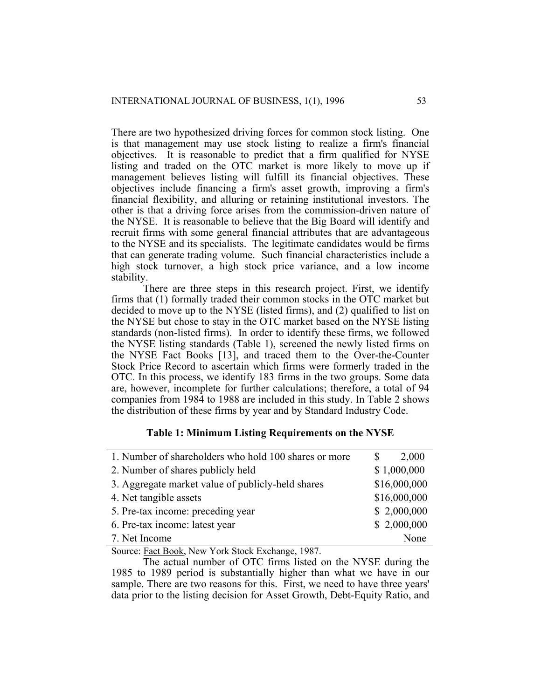There are two hypothesized driving forces for common stock listing. One is that management may use stock listing to realize a firm's financial objectives. It is reasonable to predict that a firm qualified for NYSE listing and traded on the OTC market is more likely to move up if management believes listing will fulfill its financial objectives. These objectives include financing a firm's asset growth, improving a firm's financial flexibility, and alluring or retaining institutional investors. The other is that a driving force arises from the commission-driven nature of the NYSE. It is reasonable to believe that the Big Board will identify and recruit firms with some general financial attributes that are advantageous to the NYSE and its specialists. The legitimate candidates would be firms that can generate trading volume. Such financial characteristics include a high stock turnover, a high stock price variance, and a low income stability.

 There are three steps in this research project. First, we identify firms that (1) formally traded their common stocks in the OTC market but decided to move up to the NYSE (listed firms), and (2) qualified to list on the NYSE but chose to stay in the OTC market based on the NYSE listing standards (non-listed firms). In order to identify these firms, we followed the NYSE listing standards (Table 1), screened the newly listed firms on the NYSE Fact Books [13], and traced them to the Over-the-Counter Stock Price Record to ascertain which firms were formerly traded in the OTC. In this process, we identify 183 firms in the two groups. Some data are, however, incomplete for further calculations; therefore, a total of 94 companies from 1984 to 1988 are included in this study. In Table 2 shows the distribution of these firms by year and by Standard Industry Code.

## **Table 1: Minimum Listing Requirements on the NYSE**

| 1. Number of shareholders who hold 100 shares or more | 2,000        |
|-------------------------------------------------------|--------------|
| 2. Number of shares publicly held                     | \$1,000,000  |
| 3. Aggregate market value of publicly-held shares     | \$16,000,000 |
| 4. Net tangible assets                                | \$16,000,000 |
| 5. Pre-tax income: preceding year                     | \$2,000,000  |
| 6. Pre-tax income: latest year                        | \$2,000,000  |
| 7. Net Income                                         | None         |

Source: Fact Book, New York Stock Exchange, 1987.

 The actual number of OTC firms listed on the NYSE during the 1985 to 1989 period is substantially higher than what we have in our sample. There are two reasons for this. First, we need to have three years' data prior to the listing decision for Asset Growth, Debt-Equity Ratio, and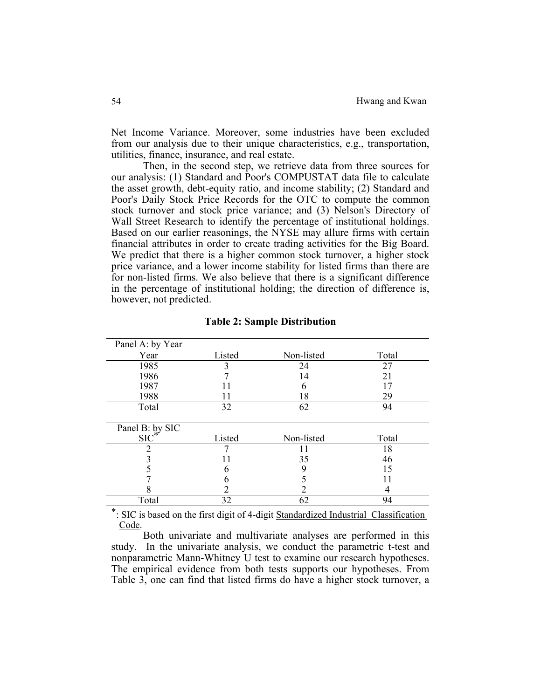Net Income Variance. Moreover, some industries have been excluded from our analysis due to their unique characteristics, e.g., transportation, utilities, finance, insurance, and real estate.

 Then, in the second step, we retrieve data from three sources for our analysis: (1) Standard and Poor's COMPUSTAT data file to calculate the asset growth, debt-equity ratio, and income stability; (2) Standard and Poor's Daily Stock Price Records for the OTC to compute the common stock turnover and stock price variance; and (3) Nelson's Directory of Wall Street Research to identify the percentage of institutional holdings. Based on our earlier reasonings, the NYSE may allure firms with certain financial attributes in order to create trading activities for the Big Board. We predict that there is a higher common stock turnover, a higher stock price variance, and a lower income stability for listed firms than there are for non-listed firms. We also believe that there is a significant difference in the percentage of institutional holding; the direction of difference is, however, not predicted.

| Panel A: by Year           |        |            |       |
|----------------------------|--------|------------|-------|
| Year                       | Listed | Non-listed | Total |
| 1985                       |        | 24         | 27    |
| 1986                       |        | 14         | 21    |
| 1987                       |        |            | 17    |
| 1988                       | 11     | 18         | 29    |
| Total                      | 32     | 62         | 94    |
|                            |        |            |       |
|                            |        |            |       |
|                            |        |            |       |
| Panel B: by SIC<br>$SIC^*$ | Listed | Non-listed | Total |
|                            |        |            | 18    |
|                            |        | 35         | 46    |
|                            |        | 9          | 15    |
|                            | n      |            |       |
|                            |        |            | 4     |

#### **Table 2: Sample Distribution**

\*: SIC is based on the first digit of 4-digit Standardized Industrial Classification Code.

 Both univariate and multivariate analyses are performed in this study. In the univariate analysis, we conduct the parametric t-test and nonparametric Mann-Whitney U test to examine our research hypotheses. The empirical evidence from both tests supports our hypotheses. From Table 3, one can find that listed firms do have a higher stock turnover, a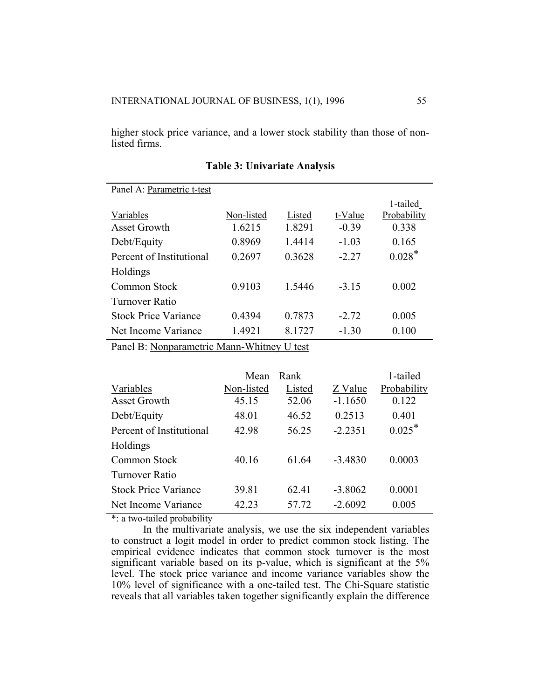higher stock price variance, and a lower stock stability than those of nonlisted firms.

| Panel A: Parametric t-test  |            |        |         |             |
|-----------------------------|------------|--------|---------|-------------|
|                             |            |        |         | 1-tailed    |
| Variables                   | Non-listed | Listed | t-Value | Probability |
| Asset Growth                | 1.6215     | 1.8291 | $-0.39$ | 0.338       |
| Debt/Equity                 | 0.8969     | 1.4414 | $-1.03$ | 0.165       |
| Percent of Institutional    | 0.2697     | 0.3628 | $-2.27$ | $0.028*$    |
| Holdings                    |            |        |         |             |
| Common Stock                | 0.9103     | 1.5446 | $-3.15$ | 0.002       |
| Turnover Ratio              |            |        |         |             |
| <b>Stock Price Variance</b> | 0.4394     | 0.7873 | $-2.72$ | 0.005       |
| Net Income Variance         | 1.4921     | 8.1727 | $-1.30$ | 0.100       |

## **Table 3: Univariate Analysis**

Panel B: Nonparametric Mann-Whitney U test

|                             | Mean       | Rank   |           | 1-tailed    |
|-----------------------------|------------|--------|-----------|-------------|
| Variables                   | Non-listed | Listed | Z Value   | Probability |
| <b>Asset Growth</b>         | 45.15      | 52.06  | $-1.1650$ | 0.122       |
| Debt/Equity                 | 48.01      | 46.52  | 0.2513    | 0.401       |
| Percent of Institutional    | 42.98      | 56.25  | $-2.2351$ | $0.025*$    |
| Holdings                    |            |        |           |             |
| Common Stock                | 40.16      | 61.64  | $-3.4830$ | 0.0003      |
| Turnover Ratio              |            |        |           |             |
| <b>Stock Price Variance</b> | 39.81      | 62.41  | $-3.8062$ | 0.0001      |
| Net Income Variance         | 42.23      | 57.72  | $-2.6092$ | 0.005       |

\*: a two-tailed probability

 In the multivariate analysis, we use the six independent variables to construct a logit model in order to predict common stock listing. The empirical evidence indicates that common stock turnover is the most significant variable based on its p-value, which is significant at the 5% level. The stock price variance and income variance variables show the 10% level of significance with a one-tailed test. The Chi-Square statistic reveals that all variables taken together significantly explain the difference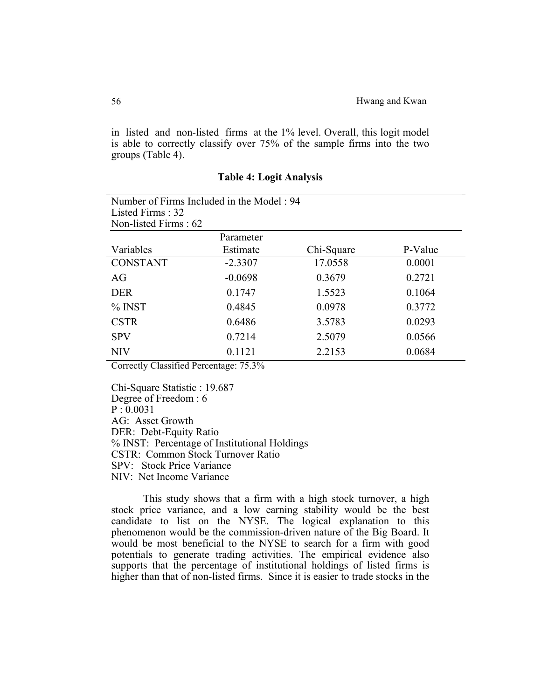in listed and non-listed firms at the 1% level. Overall, this logit model is able to correctly classify over 75% of the sample firms into the two groups (Table 4).

| Number of Firms Included in the Model: 94 |           |            |         |
|-------------------------------------------|-----------|------------|---------|
| Listed Firms: 32                          |           |            |         |
| Non-listed Firms: 62                      |           |            |         |
|                                           | Parameter |            |         |
| Variables                                 | Estimate  | Chi-Square | P-Value |
| <b>CONSTANT</b>                           | $-2.3307$ | 17.0558    | 0.0001  |
| AG                                        | $-0.0698$ | 0.3679     | 0.2721  |
| <b>DER</b>                                | 0.1747    | 1.5523     | 0.1064  |
| $%$ INST                                  | 0.4845    | 0.0978     | 0.3772  |
| <b>CSTR</b>                               | 0.6486    | 3.5783     | 0.0293  |
| <b>SPV</b>                                | 0.7214    | 2.5079     | 0.0566  |
| <b>NIV</b>                                | 0.1121    | 2.2153     | 0.0684  |

## **Table 4: Logit Analysis**

Correctly Classified Percentage: 75.3%

Chi-Square Statistic : 19.687 Degree of Freedom : 6  $P : 0.0031$ AG: Asset Growth DER: Debt-Equity Ratio % INST: Percentage of Institutional Holdings CSTR: Common Stock Turnover Ratio SPV: Stock Price Variance NIV: Net Income Variance

 This study shows that a firm with a high stock turnover, a high stock price variance, and a low earning stability would be the best candidate to list on the NYSE. The logical explanation to this phenomenon would be the commission-driven nature of the Big Board. It would be most beneficial to the NYSE to search for a firm with good potentials to generate trading activities. The empirical evidence also supports that the percentage of institutional holdings of listed firms is higher than that of non-listed firms. Since it is easier to trade stocks in the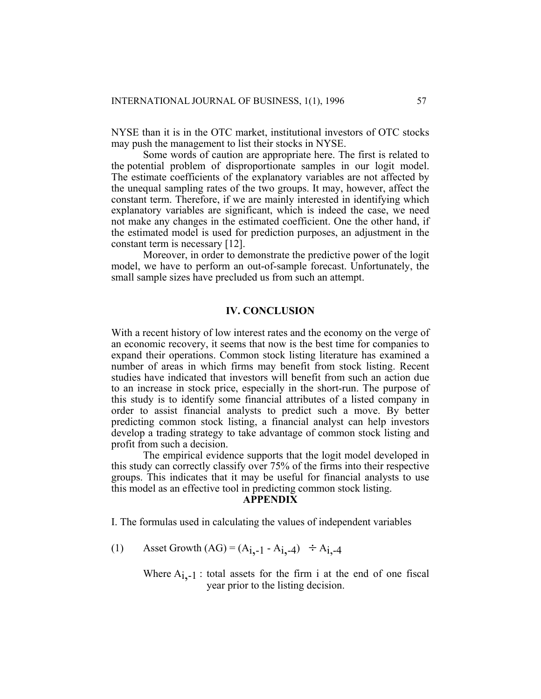NYSE than it is in the OTC market, institutional investors of OTC stocks may push the management to list their stocks in NYSE.

 Some words of caution are appropriate here. The first is related to the potential problem of disproportionate samples in our logit model. The estimate coefficients of the explanatory variables are not affected by the unequal sampling rates of the two groups. It may, however, affect the constant term. Therefore, if we are mainly interested in identifying which explanatory variables are significant, which is indeed the case, we need not make any changes in the estimated coefficient. One the other hand, if the estimated model is used for prediction purposes, an adjustment in the constant term is necessary [12].

 Moreover, in order to demonstrate the predictive power of the logit model, we have to perform an out-of-sample forecast. Unfortunately, the small sample sizes have precluded us from such an attempt.

# **IV. CONCLUSION**

With a recent history of low interest rates and the economy on the verge of an economic recovery, it seems that now is the best time for companies to expand their operations. Common stock listing literature has examined a number of areas in which firms may benefit from stock listing. Recent studies have indicated that investors will benefit from such an action due to an increase in stock price, especially in the short-run. The purpose of this study is to identify some financial attributes of a listed company in order to assist financial analysts to predict such a move. By better predicting common stock listing, a financial analyst can help investors develop a trading strategy to take advantage of common stock listing and profit from such a decision.

 The empirical evidence supports that the logit model developed in this study can correctly classify over 75% of the firms into their respective groups. This indicates that it may be useful for financial analysts to use this model as an effective tool in predicting common stock listing.

## **APPENDIX**

I. The formulas used in calculating the values of independent variables

(1) Asset Growth  $(AG) = (A_{i,-1} - A_{i,-4}) \div A_{i,-4}$ 

Where  $A_{i,-1}$ : total assets for the firm i at the end of one fiscal year prior to the listing decision.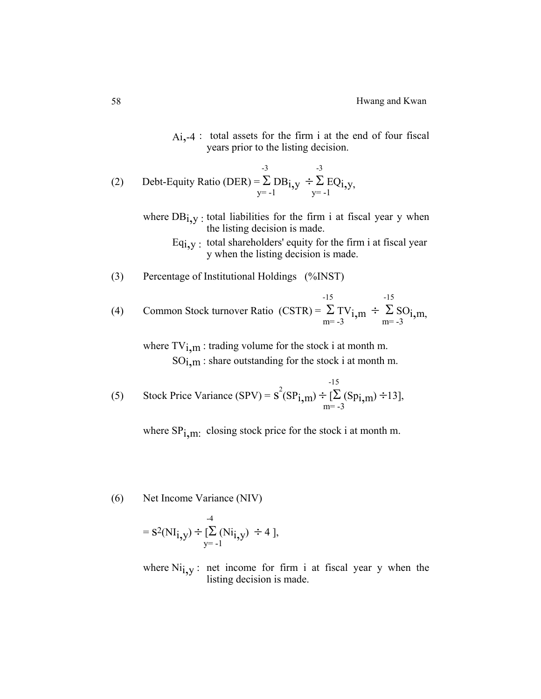Ai,-4 : total assets for the firm i at the end of four fiscal years prior to the listing decision.

(2) Debt-Equity Ratio (DER) = 
$$
\sum_{y=-1}^{-3} DB_{i,y} \div \sum_{y=-1}^{-3} EQ_{i,y},
$$

- where  $DB_{i,v}$ : total liabilities for the firm i at fiscal year y when the listing decision is made.
	- $Eq_{i,v}$ : total shareholders' equity for the firm i at fiscal year y when the listing decision is made.
- (3) Percentage of Institutional Holdings (%INST)

 $-15$   $-15$ (4) Common Stock turnover Ratio (CSTR) =  $\sum_{m=-3}^{\infty} TV_{i,m} \div \sum_{m=-3}^{\infty} SO_{i,m}$ ,

where  $TV_{i,m}$ : trading volume for the stock i at month m.  $SO_{1,m}$ : share outstanding for the stock i at month m.

(5) Stock Price Variance (SPV) = 
$$
s^{2}(SP_{i,m}) \div \left[\sum_{m=-3}^{15} (Sp_{i,m}) \div 13\right],
$$

where  $SP_{1,m}$ : closing stock price for the stock i at month m.

(6) Net Income Variance (NIV)

$$
= S^{2}(NI_{i,y}) \div \left[\sum_{y=-1}^{4}(Ni_{i,y}) \div 4\right],
$$

where  $Ni<sub>i,y</sub>$ : net income for firm i at fiscal year y when the listing decision is made.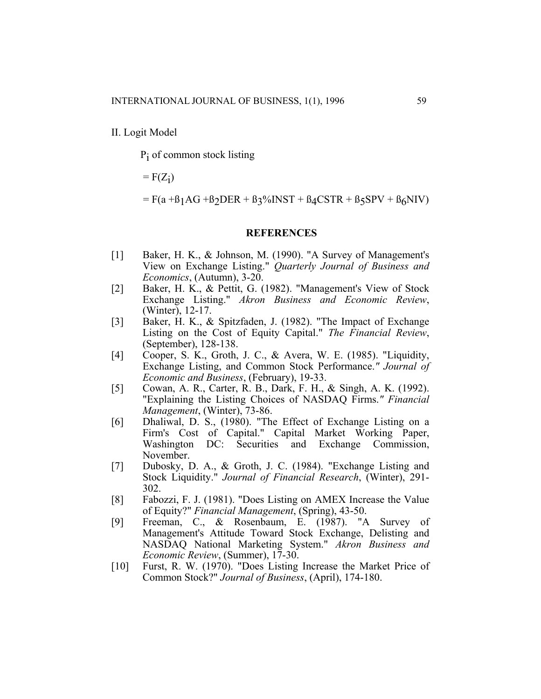Pi of common stock listing

 $=$   $F(Z_i)$ 

 $=$  F(a + $\beta$ <sub>1</sub>AG + $\beta$ <sub>2</sub>DER +  $\beta$ <sub>3</sub>%INST +  $\beta$ <sub>4</sub>CSTR +  $\beta$ <sub>5</sub>SPV +  $\beta$ <sub>6</sub>NIV)

## **REFERENCES**

- [1] Baker, H. K., & Johnson, M. (1990). "A Survey of Management's View on Exchange Listing." *Quarterly Journal of Business and Economics*, (Autumn), 3-20.
- [2] Baker, H. K., & Pettit, G. (1982). "Management's View of Stock Exchange Listing." *Akron Business and Economic Review*, (Winter), 12-17.
- [3] Baker, H. K., & Spitzfaden, J. (1982). "The Impact of Exchange Listing on the Cost of Equity Capital." *The Financial Review*, (September), 128-138.
- [4] Cooper, S. K., Groth, J. C., & Avera, W. E. (1985). "Liquidity, Exchange Listing, and Common Stock Performance.*" Journal of Economic and Business*, (February), 19-33.
- [5] Cowan, A. R., Carter, R. B., Dark, F. H., & Singh, A. K. (1992). "Explaining the Listing Choices of NASDAQ Firms.*" Financial Management*, (Winter), 73-86.
- [6] Dhaliwal, D. S., (1980). "The Effect of Exchange Listing on a Firm's Cost of Capital." Capital Market Working Paper, Washington DC: Securities and Exchange Commission, November.
- [7] Dubosky, D. A., & Groth, J. C. (1984). "Exchange Listing and Stock Liquidity." *Journal of Financial Research*, (Winter), 291- 302.
- [8] Fabozzi, F. J. (1981). "Does Listing on AMEX Increase the Value of Equity?" *Financial Management*, (Spring), 43-50.
- [9] Freeman, C., & Rosenbaum, E. (1987). "A Survey of Management's Attitude Toward Stock Exchange, Delisting and NASDAQ National Marketing System." *Akron Business and Economic Review*, (Summer), 17-30.
- [10] Furst, R. W. (1970). "Does Listing Increase the Market Price of Common Stock?" *Journal of Business*, (April), 174-180.